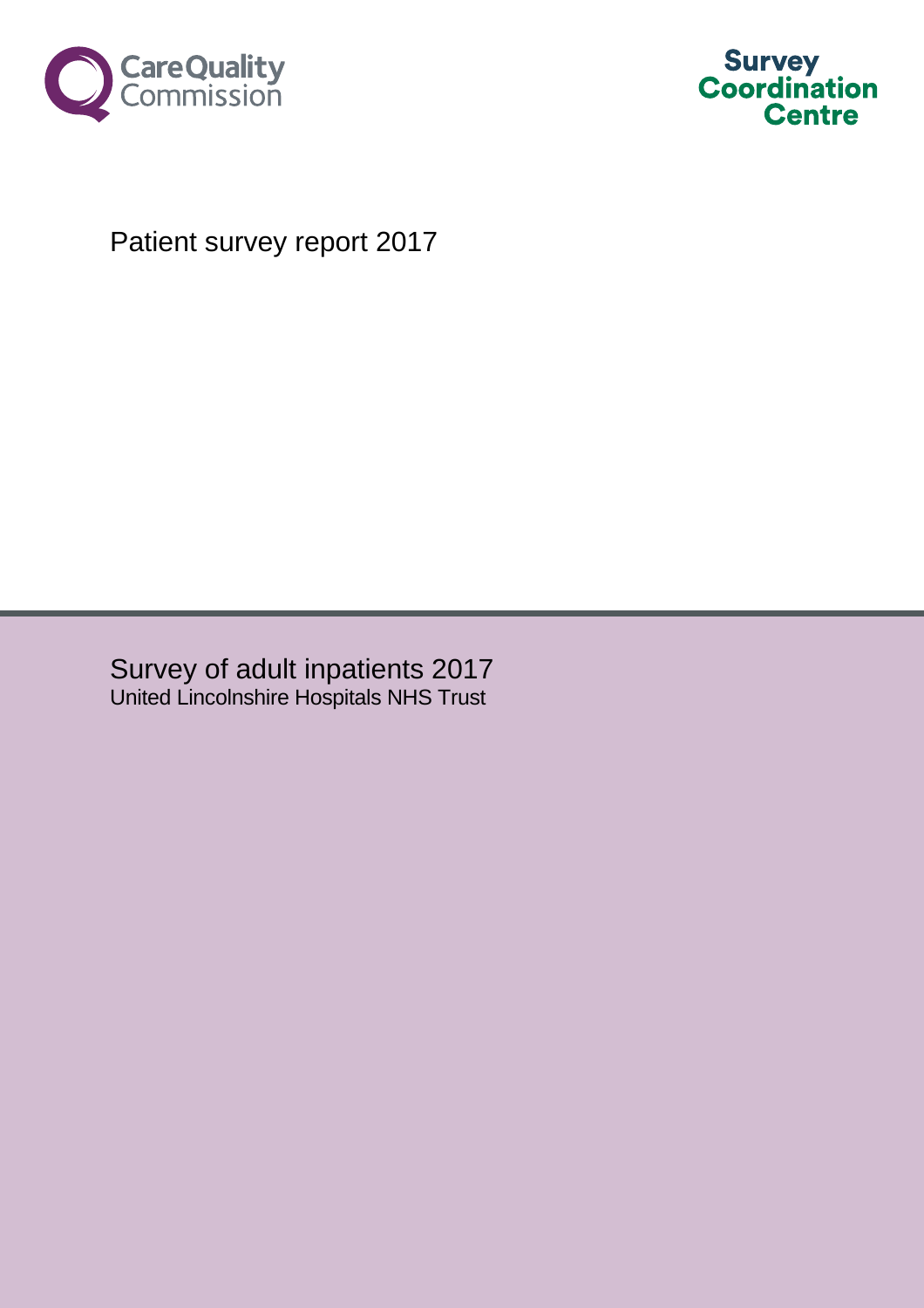



# Patient survey report 2017

Survey of adult inpatients 2017 United Lincolnshire Hospitals NHS Trust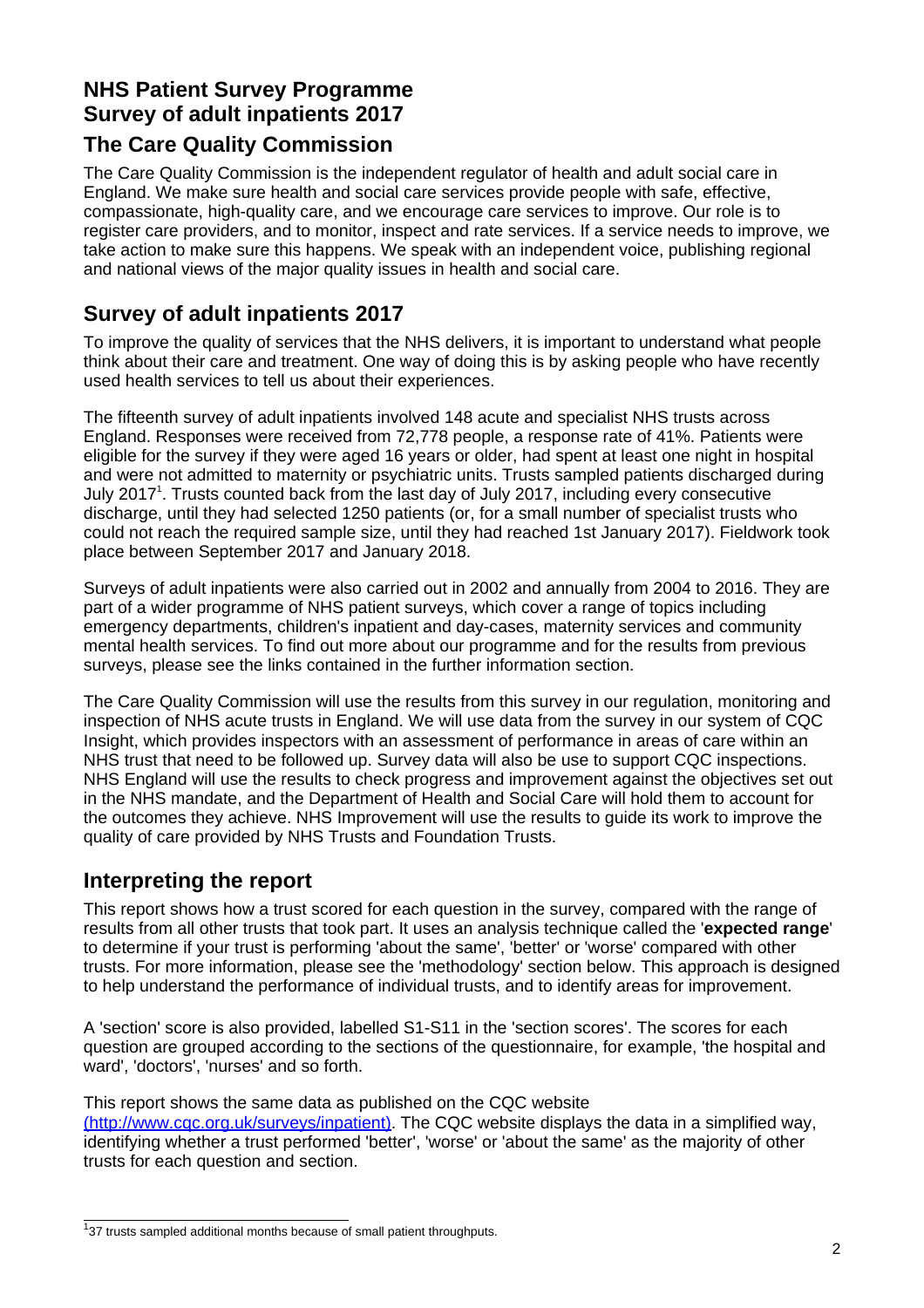### **NHS Patient Survey Programme Survey of adult inpatients 2017**

### **The Care Quality Commission**

The Care Quality Commission is the independent regulator of health and adult social care in England. We make sure health and social care services provide people with safe, effective, compassionate, high-quality care, and we encourage care services to improve. Our role is to register care providers, and to monitor, inspect and rate services. If a service needs to improve, we take action to make sure this happens. We speak with an independent voice, publishing regional and national views of the major quality issues in health and social care.

### **Survey of adult inpatients 2017**

To improve the quality of services that the NHS delivers, it is important to understand what people think about their care and treatment. One way of doing this is by asking people who have recently used health services to tell us about their experiences.

The fifteenth survey of adult inpatients involved 148 acute and specialist NHS trusts across England. Responses were received from 72,778 people, a response rate of 41%. Patients were eligible for the survey if they were aged 16 years or older, had spent at least one night in hospital and were not admitted to maternity or psychiatric units. Trusts sampled patients discharged during July 2017<sup>1</sup>. Trusts counted back from the last day of July 2017, including every consecutive discharge, until they had selected 1250 patients (or, for a small number of specialist trusts who could not reach the required sample size, until they had reached 1st January 2017). Fieldwork took place between September 2017 and January 2018.

Surveys of adult inpatients were also carried out in 2002 and annually from 2004 to 2016. They are part of a wider programme of NHS patient surveys, which cover a range of topics including emergency departments, children's inpatient and day-cases, maternity services and community mental health services. To find out more about our programme and for the results from previous surveys, please see the links contained in the further information section.

The Care Quality Commission will use the results from this survey in our regulation, monitoring and inspection of NHS acute trusts in England. We will use data from the survey in our system of CQC Insight, which provides inspectors with an assessment of performance in areas of care within an NHS trust that need to be followed up. Survey data will also be use to support CQC inspections. NHS England will use the results to check progress and improvement against the objectives set out in the NHS mandate, and the Department of Health and Social Care will hold them to account for the outcomes they achieve. NHS Improvement will use the results to guide its work to improve the quality of care provided by NHS Trusts and Foundation Trusts.

### **Interpreting the report**

This report shows how a trust scored for each question in the survey, compared with the range of results from all other trusts that took part. It uses an analysis technique called the '**expected range**' to determine if your trust is performing 'about the same', 'better' or 'worse' compared with other trusts. For more information, please see the 'methodology' section below. This approach is designed to help understand the performance of individual trusts, and to identify areas for improvement.

A 'section' score is also provided, labelled S1-S11 in the 'section scores'. The scores for each question are grouped according to the sections of the questionnaire, for example, 'the hospital and ward', 'doctors', 'nurses' and so forth.

This report shows the same data as published on the CQC website [\(http://www.cqc.org.uk/surveys/inpatient\).](http://www.cqc.org.uk/surveys/inpatient) The CQC website displays the data in a simplified way, identifying whether a trust performed 'better', 'worse' or 'about the same' as the majority of other trusts for each question and section.

<sup>&</sup>lt;sup>1</sup>37 trusts sampled additional months because of small patient throughputs.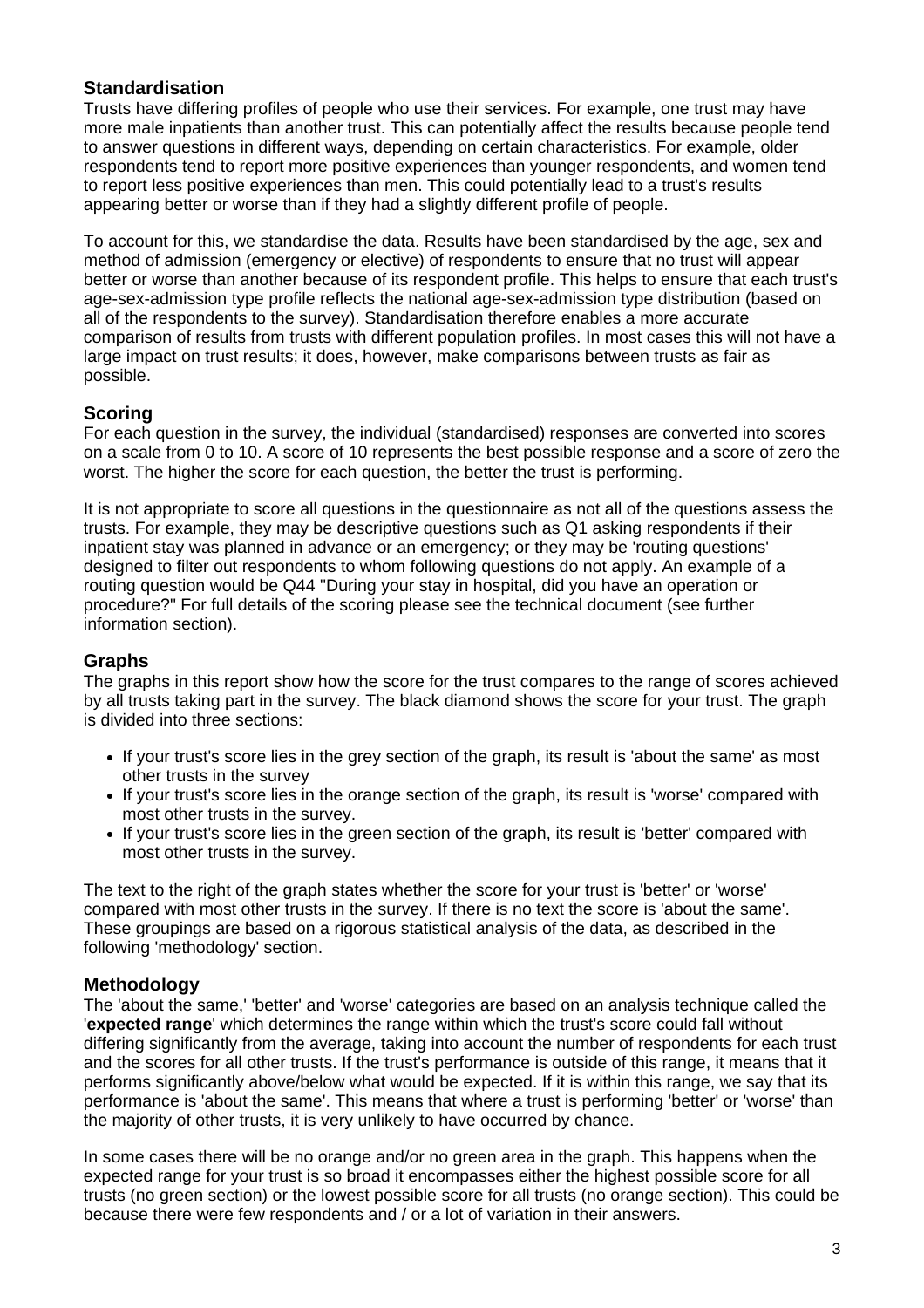#### **Standardisation**

Trusts have differing profiles of people who use their services. For example, one trust may have more male inpatients than another trust. This can potentially affect the results because people tend to answer questions in different ways, depending on certain characteristics. For example, older respondents tend to report more positive experiences than younger respondents, and women tend to report less positive experiences than men. This could potentially lead to a trust's results appearing better or worse than if they had a slightly different profile of people.

To account for this, we standardise the data. Results have been standardised by the age, sex and method of admission (emergency or elective) of respondents to ensure that no trust will appear better or worse than another because of its respondent profile. This helps to ensure that each trust's age-sex-admission type profile reflects the national age-sex-admission type distribution (based on all of the respondents to the survey). Standardisation therefore enables a more accurate comparison of results from trusts with different population profiles. In most cases this will not have a large impact on trust results; it does, however, make comparisons between trusts as fair as possible.

#### **Scoring**

For each question in the survey, the individual (standardised) responses are converted into scores on a scale from 0 to 10. A score of 10 represents the best possible response and a score of zero the worst. The higher the score for each question, the better the trust is performing.

It is not appropriate to score all questions in the questionnaire as not all of the questions assess the trusts. For example, they may be descriptive questions such as Q1 asking respondents if their inpatient stay was planned in advance or an emergency; or they may be 'routing questions' designed to filter out respondents to whom following questions do not apply. An example of a routing question would be Q44 "During your stay in hospital, did you have an operation or procedure?" For full details of the scoring please see the technical document (see further information section).

#### **Graphs**

The graphs in this report show how the score for the trust compares to the range of scores achieved by all trusts taking part in the survey. The black diamond shows the score for your trust. The graph is divided into three sections:

- **•** If your trust's score lies in the grey section of the graph, its result is 'about the same' as most other trusts in the survey
- **•** If your trust's score lies in the orange section of the graph, its result is 'worse' compared with most other trusts in the survey.
- **•** If your trust's score lies in the green section of the graph, its result is 'better' compared with most other trusts in the survey.

The text to the right of the graph states whether the score for your trust is 'better' or 'worse' compared with most other trusts in the survey. If there is no text the score is 'about the same'. These groupings are based on a rigorous statistical analysis of the data, as described in the following 'methodology' section.

#### **Methodology**

The 'about the same,' 'better' and 'worse' categories are based on an analysis technique called the '**expected range**' which determines the range within which the trust's score could fall without differing significantly from the average, taking into account the number of respondents for each trust and the scores for all other trusts. If the trust's performance is outside of this range, it means that it performs significantly above/below what would be expected. If it is within this range, we say that its performance is 'about the same'. This means that where a trust is performing 'better' or 'worse' than the majority of other trusts, it is very unlikely to have occurred by chance.

In some cases there will be no orange and/or no green area in the graph. This happens when the expected range for your trust is so broad it encompasses either the highest possible score for all trusts (no green section) or the lowest possible score for all trusts (no orange section). This could be because there were few respondents and / or a lot of variation in their answers.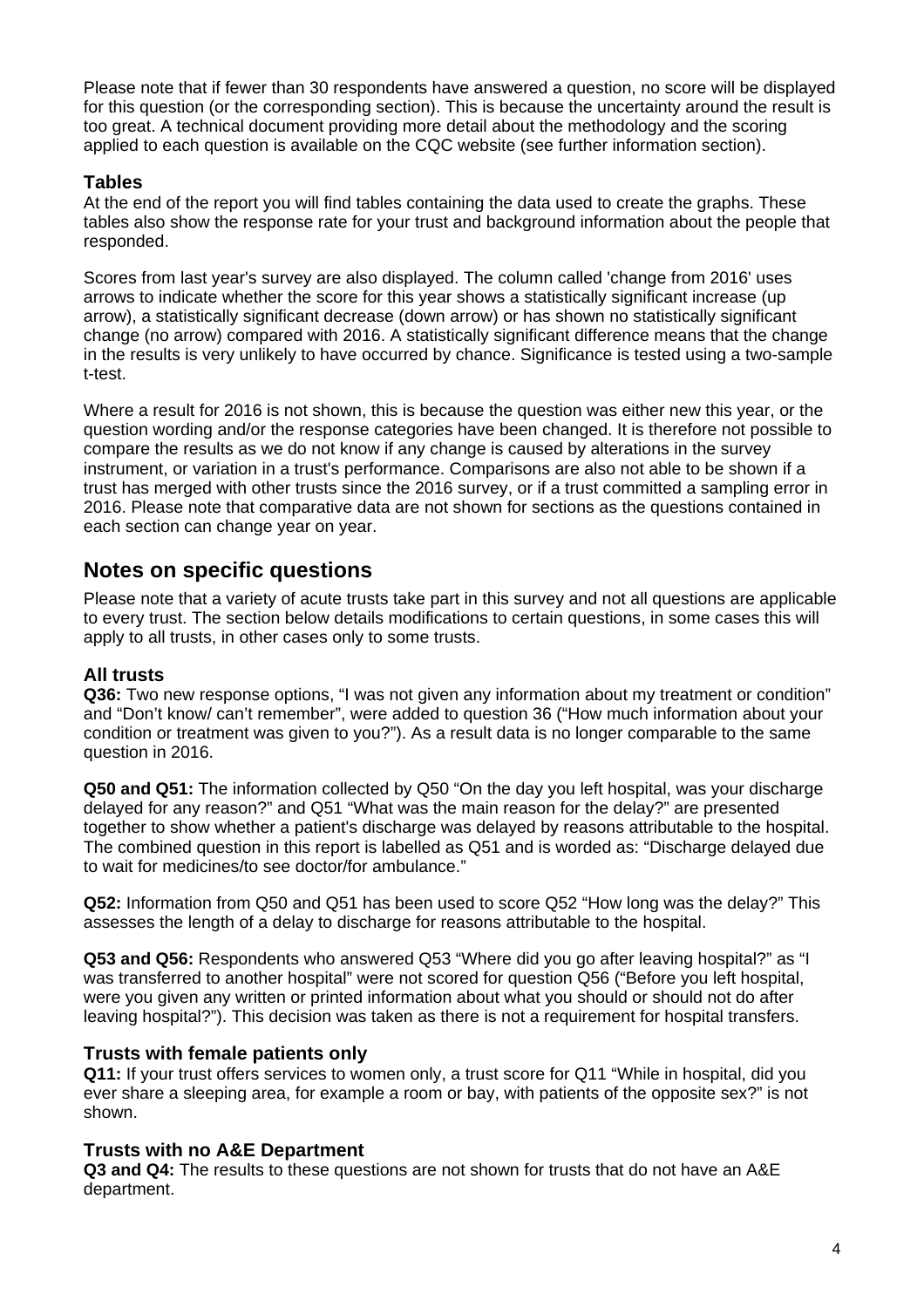Please note that if fewer than 30 respondents have answered a question, no score will be displayed for this question (or the corresponding section). This is because the uncertainty around the result is too great. A technical document providing more detail about the methodology and the scoring applied to each question is available on the CQC website (see further information section).

#### **Tables**

At the end of the report you will find tables containing the data used to create the graphs. These tables also show the response rate for your trust and background information about the people that responded.

Scores from last year's survey are also displayed. The column called 'change from 2016' uses arrows to indicate whether the score for this year shows a statistically significant increase (up arrow), a statistically significant decrease (down arrow) or has shown no statistically significant change (no arrow) compared with 2016. A statistically significant difference means that the change in the results is very unlikely to have occurred by chance. Significance is tested using a two-sample t-test.

Where a result for 2016 is not shown, this is because the question was either new this year, or the question wording and/or the response categories have been changed. It is therefore not possible to compare the results as we do not know if any change is caused by alterations in the survey instrument, or variation in a trust's performance. Comparisons are also not able to be shown if a trust has merged with other trusts since the 2016 survey, or if a trust committed a sampling error in 2016. Please note that comparative data are not shown for sections as the questions contained in each section can change year on year.

### **Notes on specific questions**

Please note that a variety of acute trusts take part in this survey and not all questions are applicable to every trust. The section below details modifications to certain questions, in some cases this will apply to all trusts, in other cases only to some trusts.

#### **All trusts**

**Q36:** Two new response options, "I was not given any information about my treatment or condition" and "Don't know/ can't remember", were added to question 36 ("How much information about your condition or treatment was given to you?"). As a result data is no longer comparable to the same question in 2016.

**Q50 and Q51:** The information collected by Q50 "On the day you left hospital, was your discharge delayed for any reason?" and Q51 "What was the main reason for the delay?" are presented together to show whether a patient's discharge was delayed by reasons attributable to the hospital. The combined question in this report is labelled as Q51 and is worded as: "Discharge delayed due to wait for medicines/to see doctor/for ambulance."

**Q52:** Information from Q50 and Q51 has been used to score Q52 "How long was the delay?" This assesses the length of a delay to discharge for reasons attributable to the hospital.

**Q53 and Q56:** Respondents who answered Q53 "Where did you go after leaving hospital?" as "I was transferred to another hospital" were not scored for question Q56 ("Before you left hospital, were you given any written or printed information about what you should or should not do after leaving hospital?"). This decision was taken as there is not a requirement for hospital transfers.

#### **Trusts with female patients only**

**Q11:** If your trust offers services to women only, a trust score for Q11 "While in hospital, did you ever share a sleeping area, for example a room or bay, with patients of the opposite sex?" is not shown.

#### **Trusts with no A&E Department**

**Q3 and Q4:** The results to these questions are not shown for trusts that do not have an A&E department.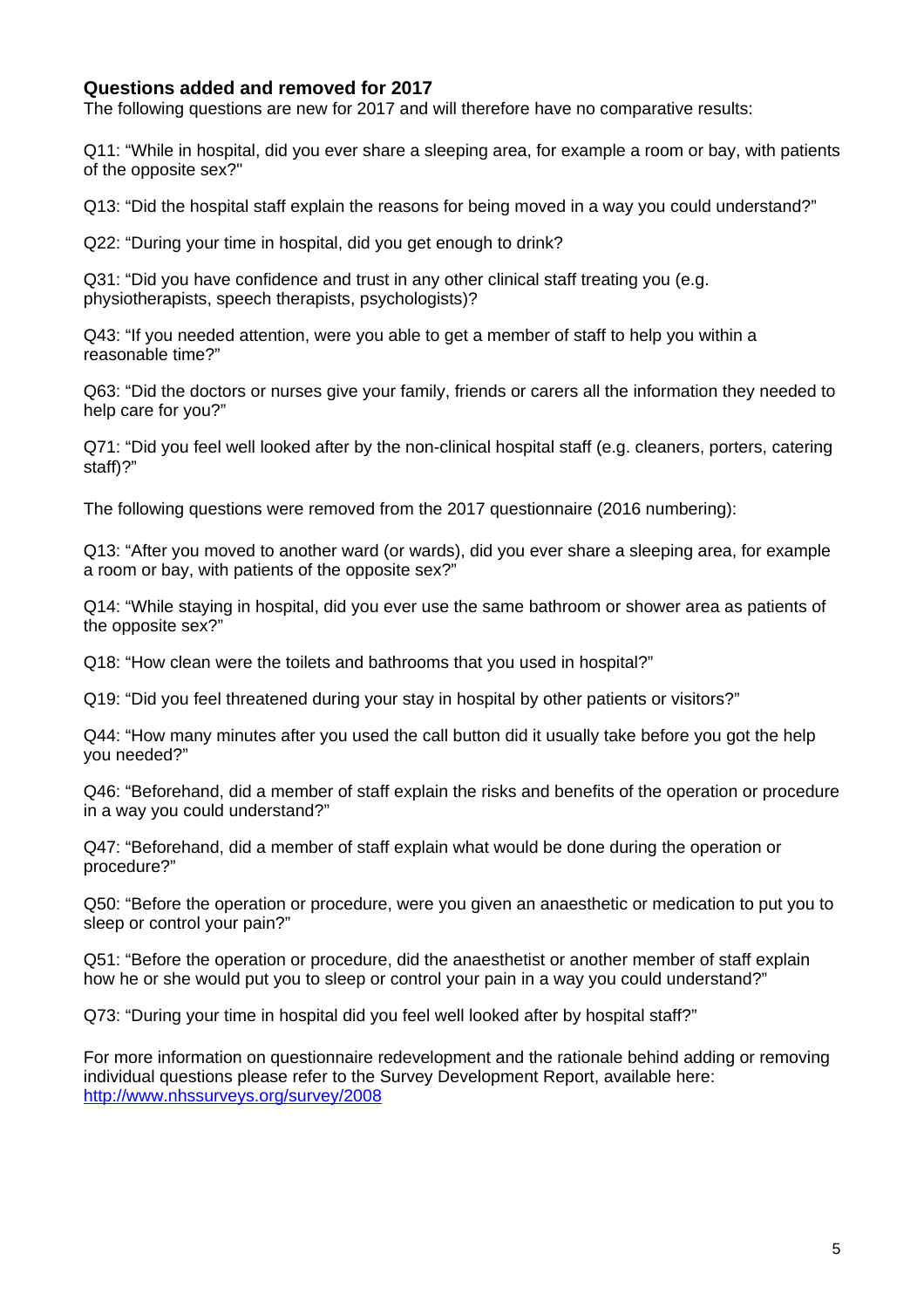#### **Questions added and removed for 2017**

The following questions are new for 2017 and will therefore have no comparative results:

Q11: "While in hospital, did you ever share a sleeping area, for example a room or bay, with patients of the opposite sex?"

Q13: "Did the hospital staff explain the reasons for being moved in a way you could understand?"

Q22: "During your time in hospital, did you get enough to drink?

Q31: "Did you have confidence and trust in any other clinical staff treating you (e.g. physiotherapists, speech therapists, psychologists)?

Q43: "If you needed attention, were you able to get a member of staff to help you within a reasonable time?"

Q63: "Did the doctors or nurses give your family, friends or carers all the information they needed to help care for you?"

Q71: "Did you feel well looked after by the non-clinical hospital staff (e.g. cleaners, porters, catering staff)?"

The following questions were removed from the 2017 questionnaire (2016 numbering):

Q13: "After you moved to another ward (or wards), did you ever share a sleeping area, for example a room or bay, with patients of the opposite sex?"

Q14: "While staying in hospital, did you ever use the same bathroom or shower area as patients of the opposite sex?"

Q18: "How clean were the toilets and bathrooms that you used in hospital?"

Q19: "Did you feel threatened during your stay in hospital by other patients or visitors?"

Q44: "How many minutes after you used the call button did it usually take before you got the help you needed?"

Q46: "Beforehand, did a member of staff explain the risks and benefits of the operation or procedure in a way you could understand?"

Q47: "Beforehand, did a member of staff explain what would be done during the operation or procedure?"

Q50: "Before the operation or procedure, were you given an anaesthetic or medication to put you to sleep or control your pain?"

Q51: "Before the operation or procedure, did the anaesthetist or another member of staff explain how he or she would put you to sleep or control your pain in a way you could understand?"

Q73: "During your time in hospital did you feel well looked after by hospital staff?"

For more information on questionnaire redevelopment and the rationale behind adding or removing individual questions please refer to the Survey Development Report, available here: [http://www.nhssurveys.org/survey/2008](http://www.nhssurveys.org/survey/2008 )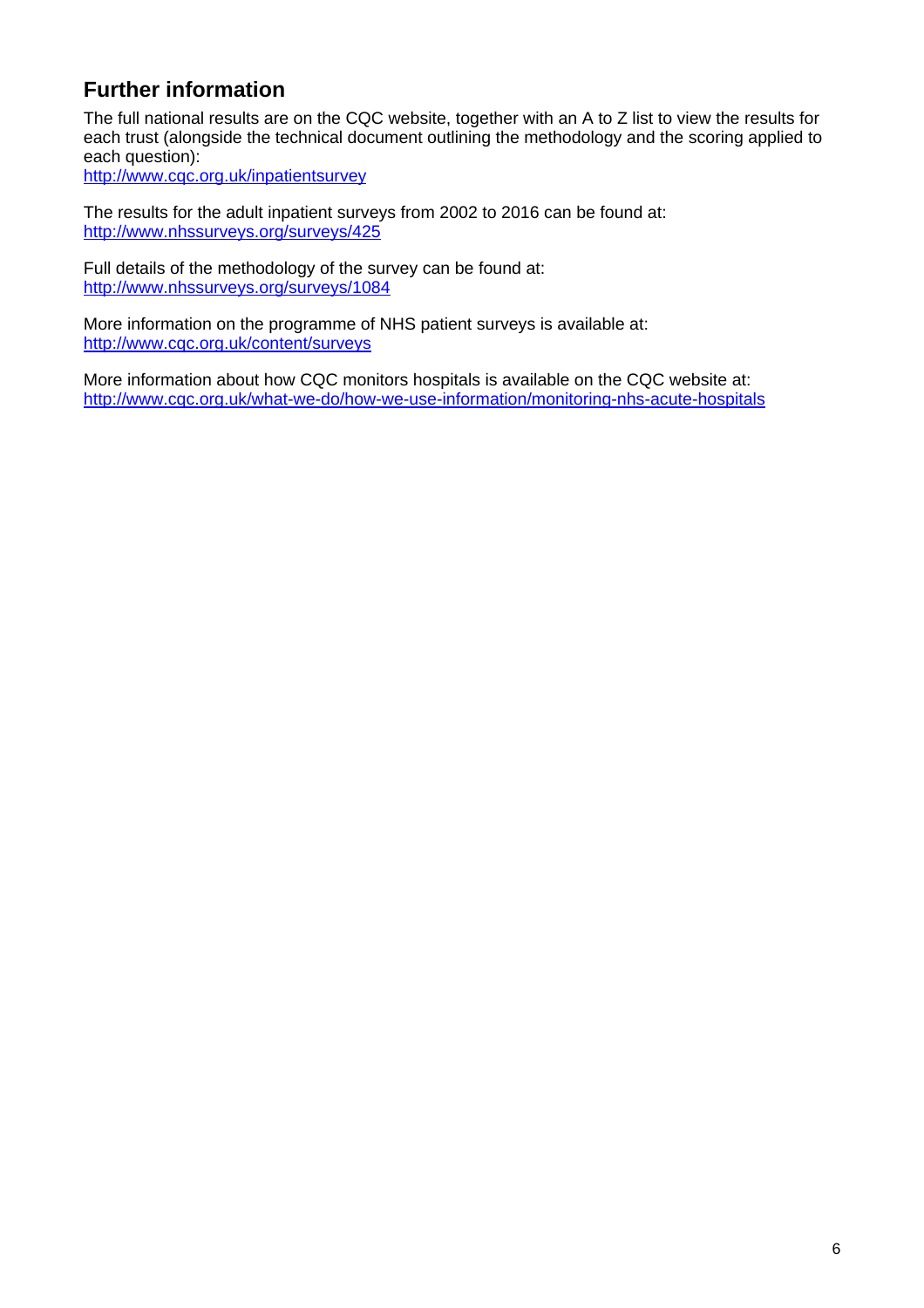### **Further information**

The full national results are on the CQC website, together with an A to Z list to view the results for each trust (alongside the technical document outlining the methodology and the scoring applied to each question):

<http://www.cqc.org.uk/inpatientsurvey>

The results for the adult inpatient surveys from 2002 to 2016 can be found at: <http://www.nhssurveys.org/surveys/425>

Full details of the methodology of the survey can be found at: <http://www.nhssurveys.org/surveys/1084>

More information on the programme of NHS patient surveys is available at: <http://www.cqc.org.uk/content/surveys>

More information about how CQC monitors hospitals is available on the CQC website at: <http://www.cqc.org.uk/what-we-do/how-we-use-information/monitoring-nhs-acute-hospitals>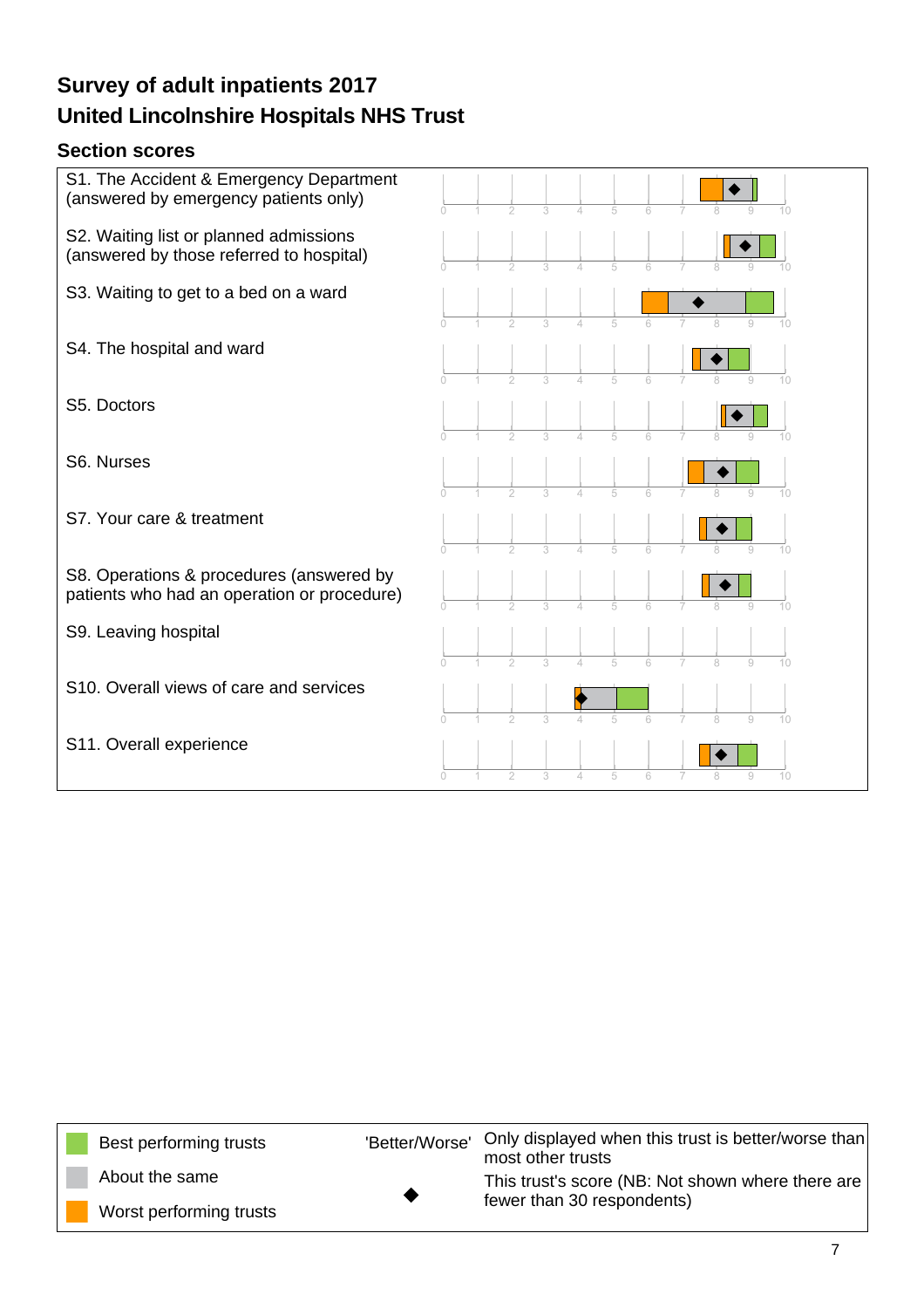### **Section scores**



| Best performing trusts  | 'Better/Worse' | Only displayed when this trust is better/worse than<br>most other trusts |
|-------------------------|----------------|--------------------------------------------------------------------------|
| About the same          |                | This trust's score (NB: Not shown where there are                        |
| Worst performing trusts |                | fewer than 30 respondents)                                               |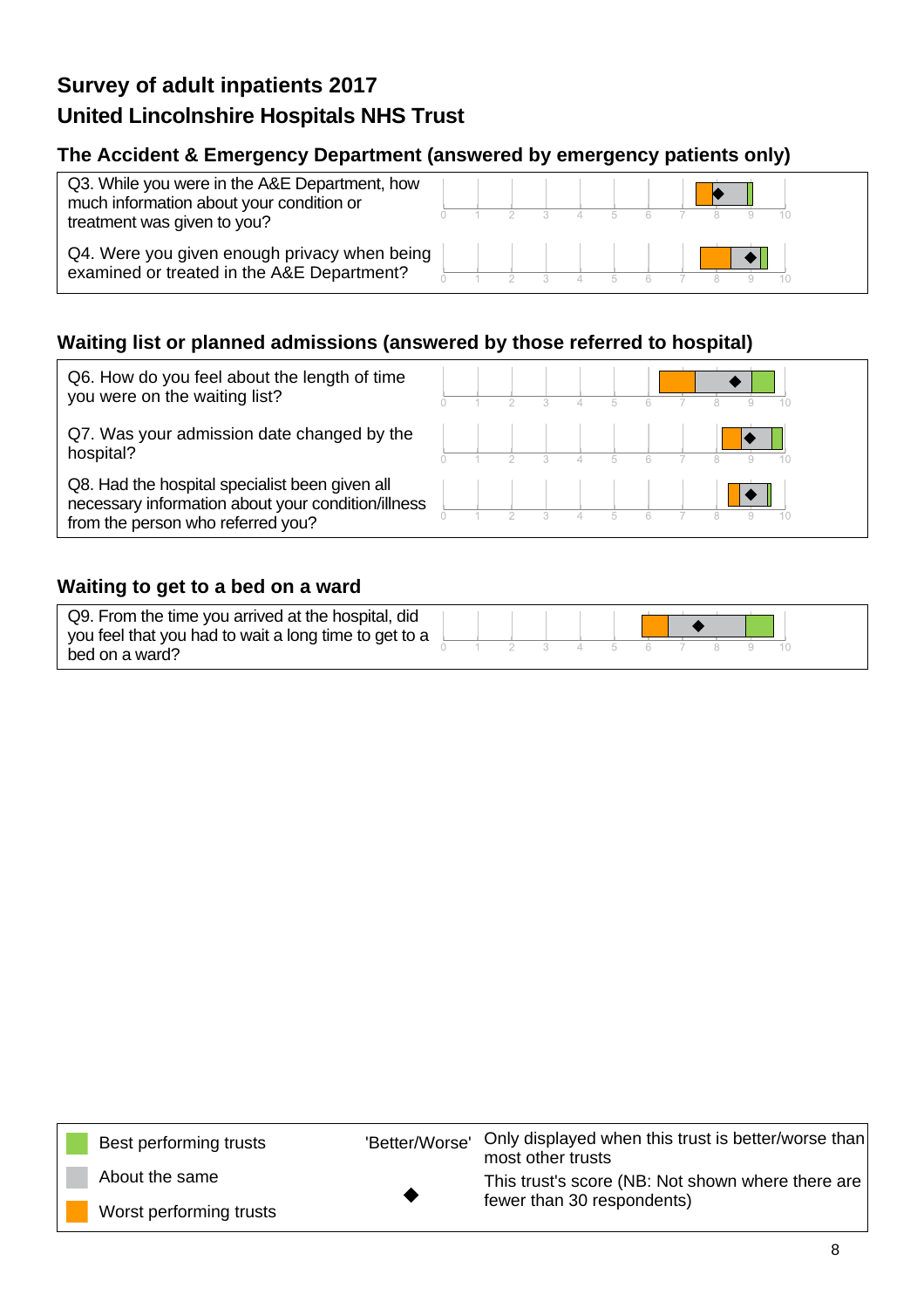### **The Accident & Emergency Department (answered by emergency patients only)**

| Q3. While you were in the A&E Department, how<br>much information about your condition or<br>treatment was given to you? |  |  |  |  |  |  |
|--------------------------------------------------------------------------------------------------------------------------|--|--|--|--|--|--|
| Q4. Were you given enough privacy when being<br>examined or treated in the A&E Department?                               |  |  |  |  |  |  |

### **Waiting list or planned admissions (answered by those referred to hospital)**

| Q6. How do you feel about the length of time<br>you were on the waiting list?                                                             |  |  |  |  |  |  |
|-------------------------------------------------------------------------------------------------------------------------------------------|--|--|--|--|--|--|
| Q7. Was your admission date changed by the<br>hospital?                                                                                   |  |  |  |  |  |  |
| Q8. Had the hospital specialist been given all<br>necessary information about your condition/illness<br>from the person who referred you? |  |  |  |  |  |  |

### **Waiting to get to a bed on a ward**

| Q9. From the time you arrived at the hospital, did<br>you feel that you had to wait a long time to get to a |  |  |  |  |  |  |
|-------------------------------------------------------------------------------------------------------------|--|--|--|--|--|--|
| bed on a ward?                                                                                              |  |  |  |  |  |  |

| Best performing trusts  | 'Better/Worse' | Only displayed when this trust is better/worse than<br>most other trusts |
|-------------------------|----------------|--------------------------------------------------------------------------|
| About the same          |                | This trust's score (NB: Not shown where there are                        |
| Worst performing trusts |                | fewer than 30 respondents)                                               |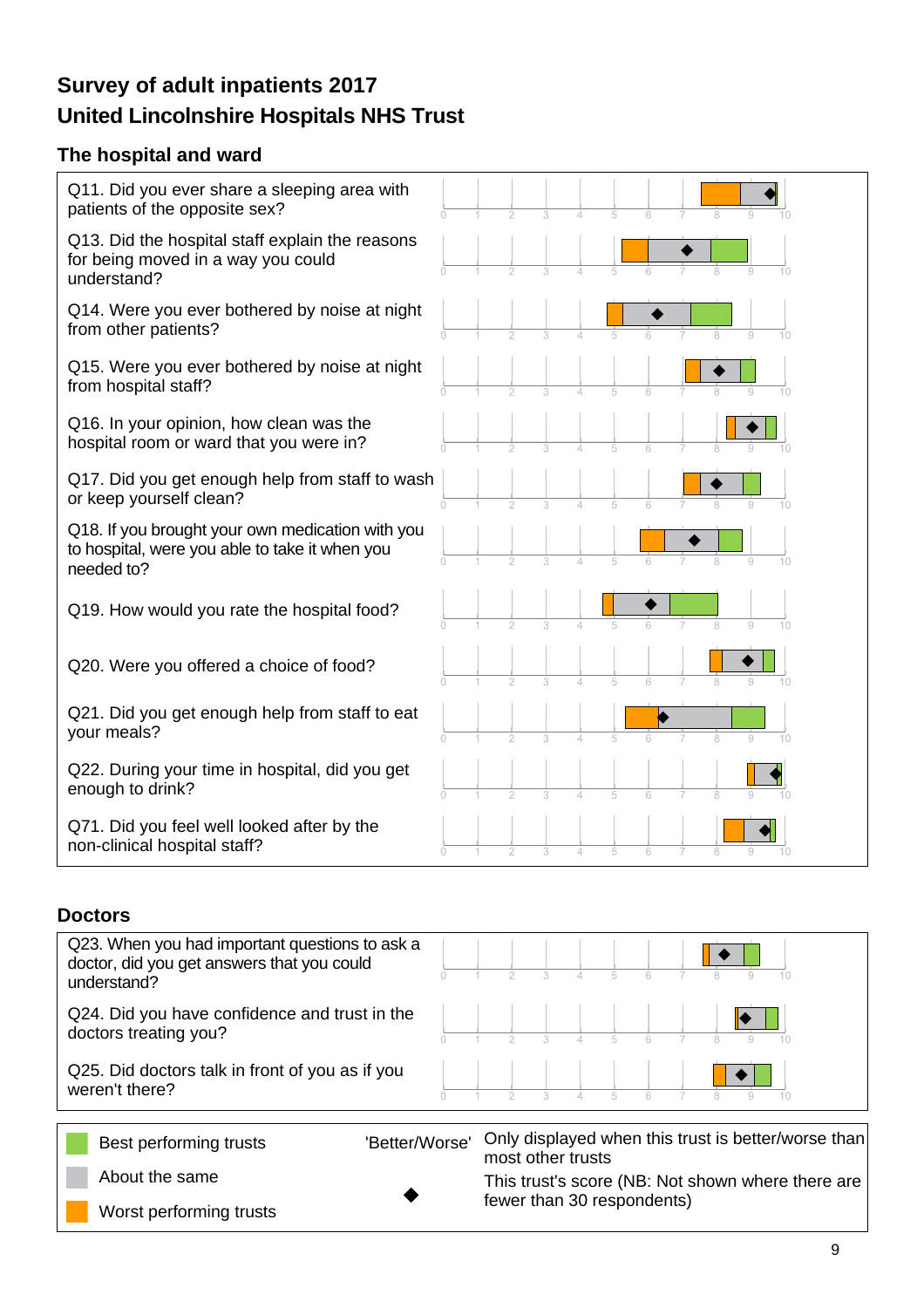### **The hospital and ward**



#### **Doctors**

| Q23. When you had important questions to ask a<br>doctor, did you get answers that you could<br>understand? |                |                            |  |  |  | 10 |                                                     |
|-------------------------------------------------------------------------------------------------------------|----------------|----------------------------|--|--|--|----|-----------------------------------------------------|
| Q24. Did you have confidence and trust in the<br>doctors treating you?                                      |                |                            |  |  |  |    |                                                     |
| Q25. Did doctors talk in front of you as if you<br>weren't there?                                           |                |                            |  |  |  |    |                                                     |
| Best performing trusts                                                                                      | 'Better/Worse' | most other trusts          |  |  |  |    | Only displayed when this trust is better/worse than |
| About the same                                                                                              |                |                            |  |  |  |    | This trust's score (NB: Not shown where there are   |
| Worst performing trusts                                                                                     |                | fewer than 30 respondents) |  |  |  |    |                                                     |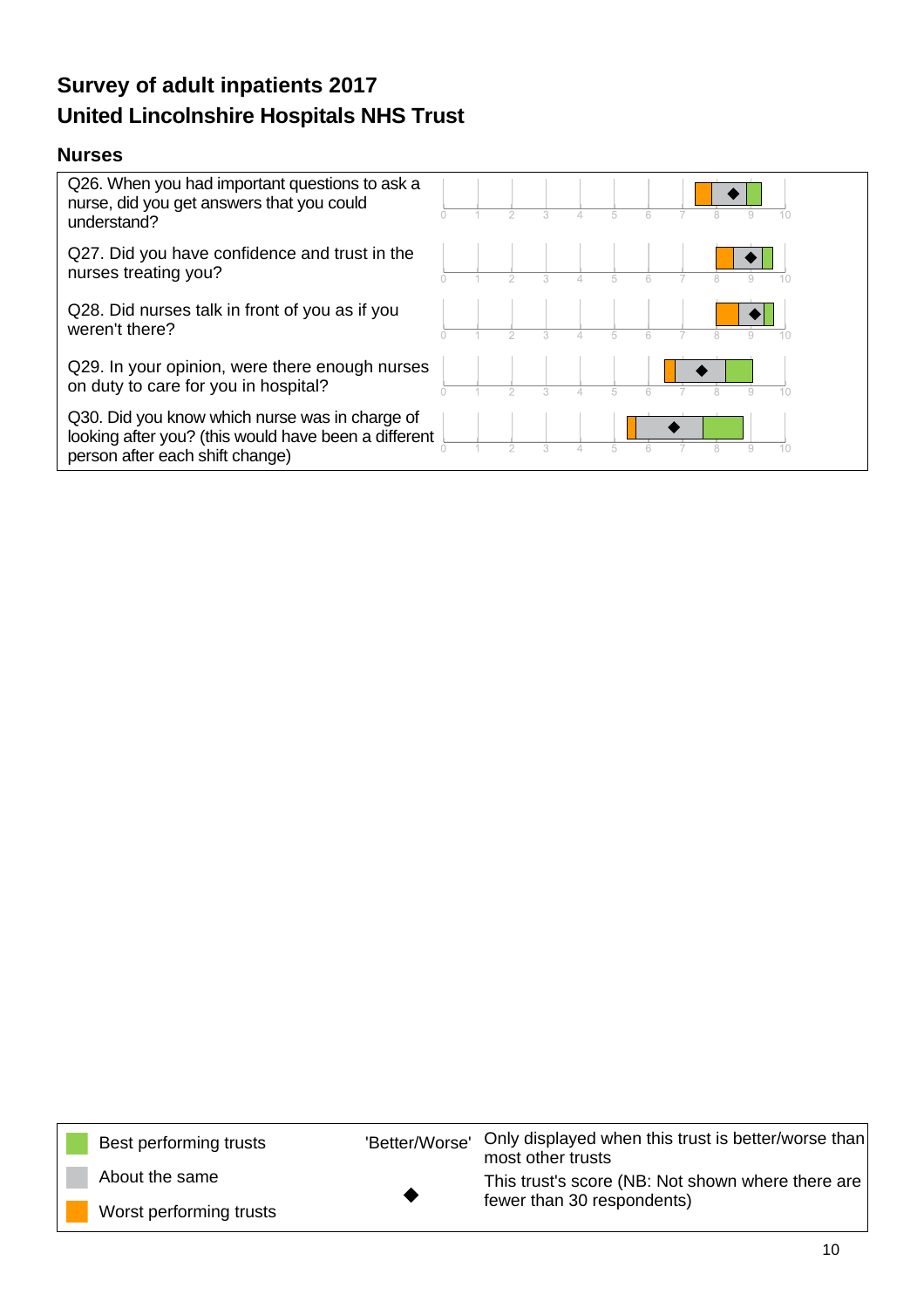#### **Nurses**



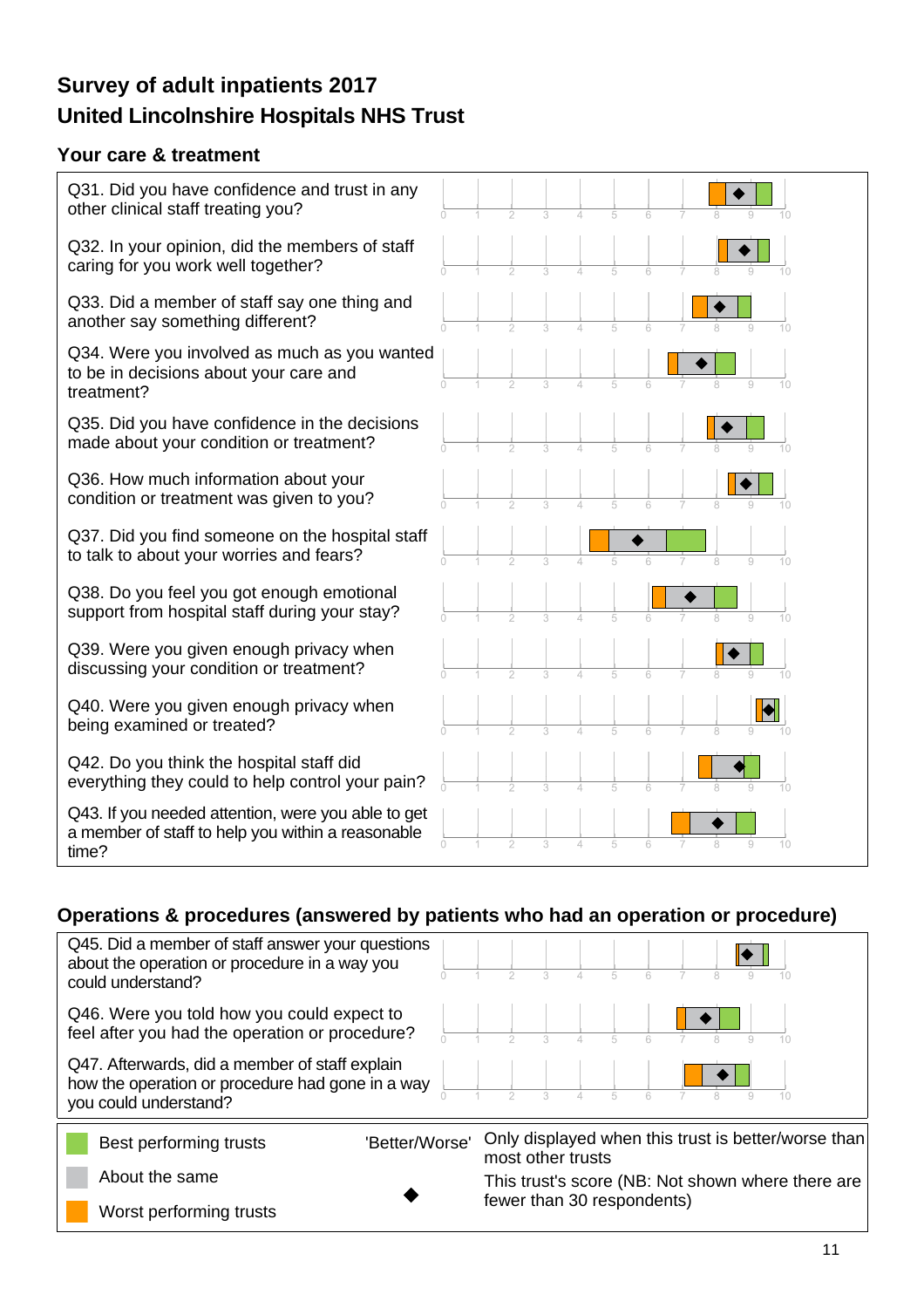### **Your care & treatment**



### **Operations & procedures (answered by patients who had an operation or procedure)**

| Q45. Did a member of staff answer your questions<br>about the operation or procedure in a way you<br>could understand?      |  |  |                   |                            |  |  |                                                     |
|-----------------------------------------------------------------------------------------------------------------------------|--|--|-------------------|----------------------------|--|--|-----------------------------------------------------|
| Q46. Were you told how you could expect to<br>feel after you had the operation or procedure?                                |  |  |                   |                            |  |  |                                                     |
| Q47. Afterwards, did a member of staff explain<br>how the operation or procedure had gone in a way<br>you could understand? |  |  |                   |                            |  |  |                                                     |
| 'Better/Worse'<br>Best performing trusts                                                                                    |  |  | most other trusts |                            |  |  | Only displayed when this trust is better/worse than |
| About the same                                                                                                              |  |  |                   |                            |  |  | This trust's score (NB: Not shown where there are   |
| Worst performing trusts                                                                                                     |  |  |                   | fewer than 30 respondents) |  |  |                                                     |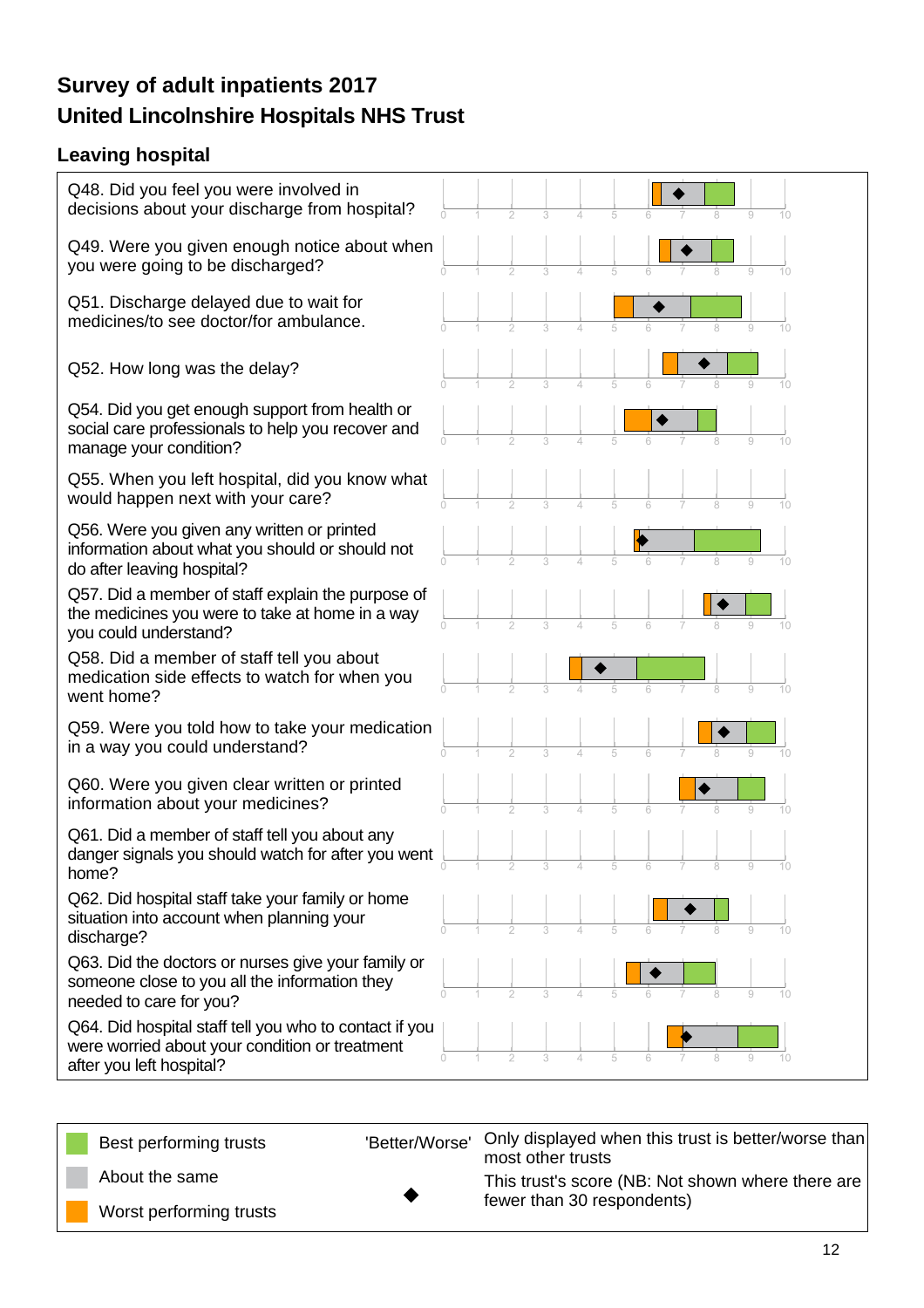### **Leaving hospital**

| Q48. Did you feel you were involved in<br>decisions about your discharge from hospital?                                              |
|--------------------------------------------------------------------------------------------------------------------------------------|
| Q49. Were you given enough notice about when<br>you were going to be discharged?                                                     |
| Q51. Discharge delayed due to wait for<br>medicines/to see doctor/for ambulance.<br>10                                               |
| Q52. How long was the delay?<br>$10 -$                                                                                               |
| Q54. Did you get enough support from health or<br>social care professionals to help you recover and<br>manage your condition?        |
| Q55. When you left hospital, did you know what<br>would happen next with your care?                                                  |
| Q56. Were you given any written or printed<br>information about what you should or should not<br>do after leaving hospital?          |
| Q57. Did a member of staff explain the purpose of<br>the medicines you were to take at home in a way<br>you could understand?        |
| Q58. Did a member of staff tell you about<br>medication side effects to watch for when you<br>went home?                             |
| Q59. Were you told how to take your medication<br>in a way you could understand?<br>$\overline{0}$                                   |
| Q60. Were you given clear written or printed<br>information about your medicines?<br>$\cap$<br>$10 -$                                |
| Q61. Did a member of staff tell you about any<br>danger signals you should watch for after you went<br>10<br>home?                   |
| Q62. Did hospital staff take your family or home<br>situation into account when planning your<br>discharge?                          |
| Q63. Did the doctors or nurses give your family or<br>someone close to you all the information they<br>needed to care for you?       |
| Q64. Did hospital staff tell you who to contact if you<br>were worried about your condition or treatment<br>after you left hospital? |

Best performing trusts

'Better/Worse' Only displayed when this trust is better/worse than most other trusts

About the same

Worst performing trusts

This trust's score (NB: Not shown where there are fewer than 30 respondents)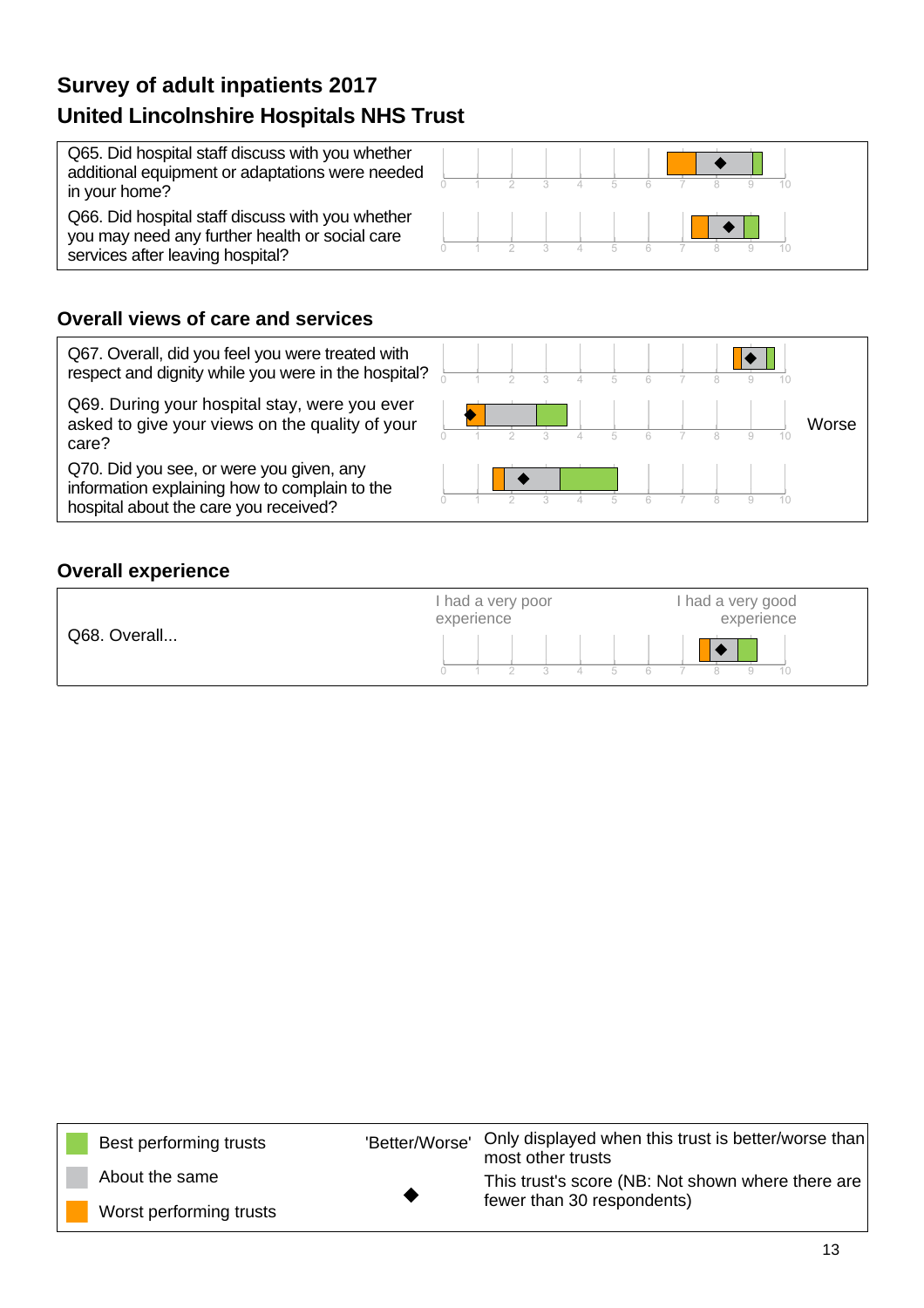Q65. Did hospital staff discuss with you whether additional equipment or adaptations were needed in your home?

Q66. Did hospital staff discuss with you whether you may need any further health or social care services after leaving hospital?



### **Overall views of care and services**

Q67. Overall, did you feel you were treated with respect and dignity while you were in the hospital?

Q69. During your hospital stay, were you ever asked to give your views on the quality of your care?

Q70. Did you see, or were you given, any information explaining how to complain to the hospital about the care you received?



### **Overall experience**



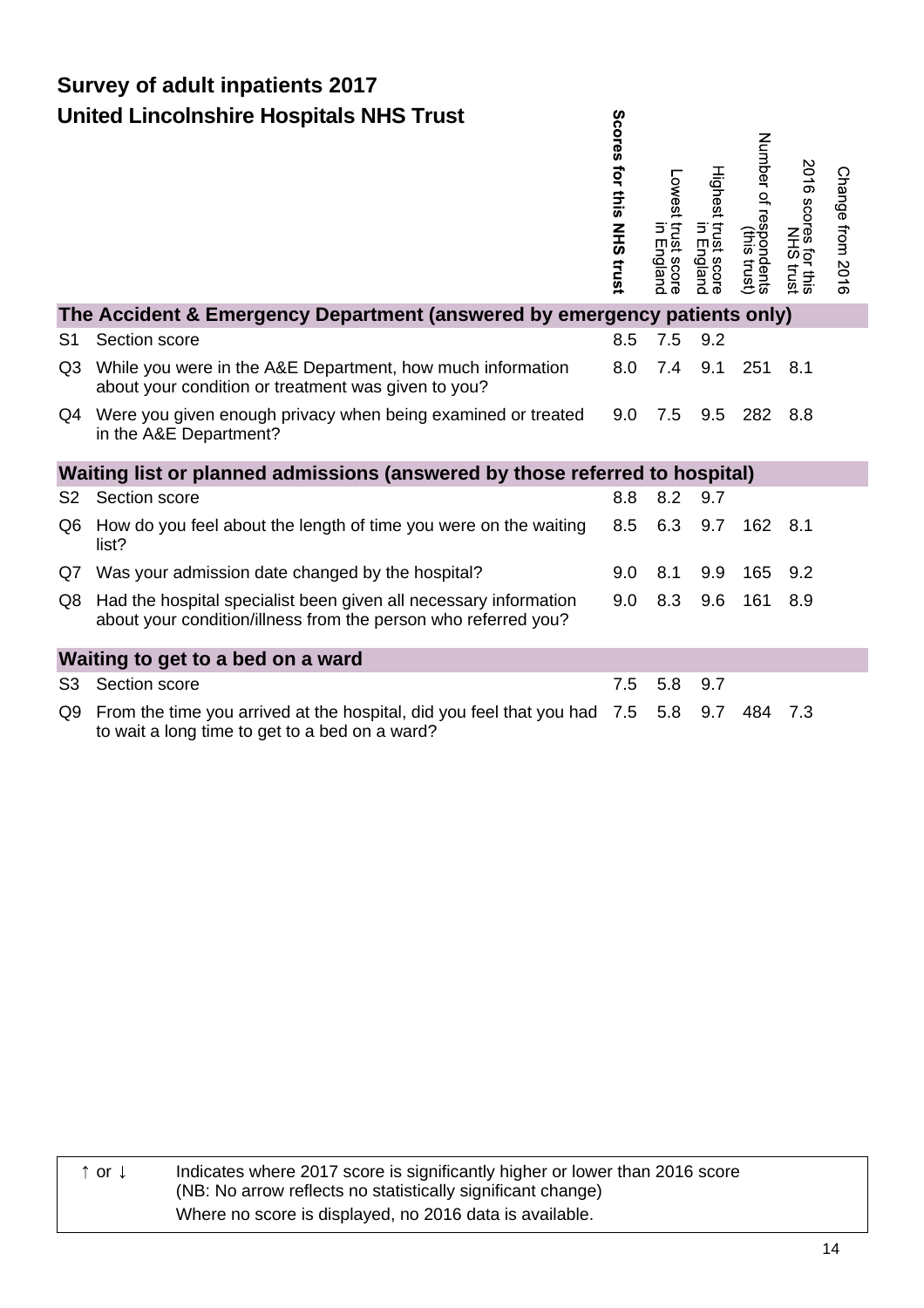|                | <b>United Lincolnshire Hospitals NHS Trust</b>                                                                                     | Scores for this<br><b>NHS trust</b> | Lowest trust score<br>in Englanc | Highest trust score<br>in England | Number of<br>f respondents<br>(this trust) | 2016 scores for this<br>2016 scores frust | Change from 2016 |
|----------------|------------------------------------------------------------------------------------------------------------------------------------|-------------------------------------|----------------------------------|-----------------------------------|--------------------------------------------|-------------------------------------------|------------------|
|                | The Accident & Emergency Department (answered by emergency patients only)                                                          |                                     |                                  |                                   |                                            |                                           |                  |
| S1             | Section score                                                                                                                      | 8.5                                 | 7.5                              | 9.2                               |                                            |                                           |                  |
| Q <sub>3</sub> | While you were in the A&E Department, how much information<br>about your condition or treatment was given to you?                  | 8.0                                 | 7.4                              | 9.1                               | 251                                        | 8.1                                       |                  |
|                | Q4 Were you given enough privacy when being examined or treated<br>in the A&E Department?                                          | 9.0                                 | 7.5                              | 9.5                               | 282                                        | 8.8                                       |                  |
|                | Waiting list or planned admissions (answered by those referred to hospital)                                                        |                                     |                                  |                                   |                                            |                                           |                  |
| S <sub>2</sub> | Section score                                                                                                                      | 8.8                                 | 8.2                              | 9.7                               |                                            |                                           |                  |
| Q6             | How do you feel about the length of time you were on the waiting<br>list?                                                          | 8.5                                 | 6.3                              | 9.7                               | 162                                        | 8.1                                       |                  |
| Q7             | Was your admission date changed by the hospital?                                                                                   | 9.0                                 | 8.1                              | 9.9                               | 165                                        | 9.2                                       |                  |
| Q8             | Had the hospital specialist been given all necessary information<br>about your condition/illness from the person who referred you? | 9.0                                 | 8.3                              | 9.6                               | 161                                        | 8.9                                       |                  |
|                | Waiting to get to a bed on a ward                                                                                                  |                                     |                                  |                                   |                                            |                                           |                  |
| S <sub>3</sub> | Section score                                                                                                                      | 7.5                                 | 5.8                              | 9.7                               |                                            |                                           |                  |
| Q9             | From the time you arrived at the hospital, did you feel that you had<br>to wait a long time to get to a bed on a ward?             | 7.5                                 | 5.8                              | 9.7                               | 484                                        | 7.3                                       |                  |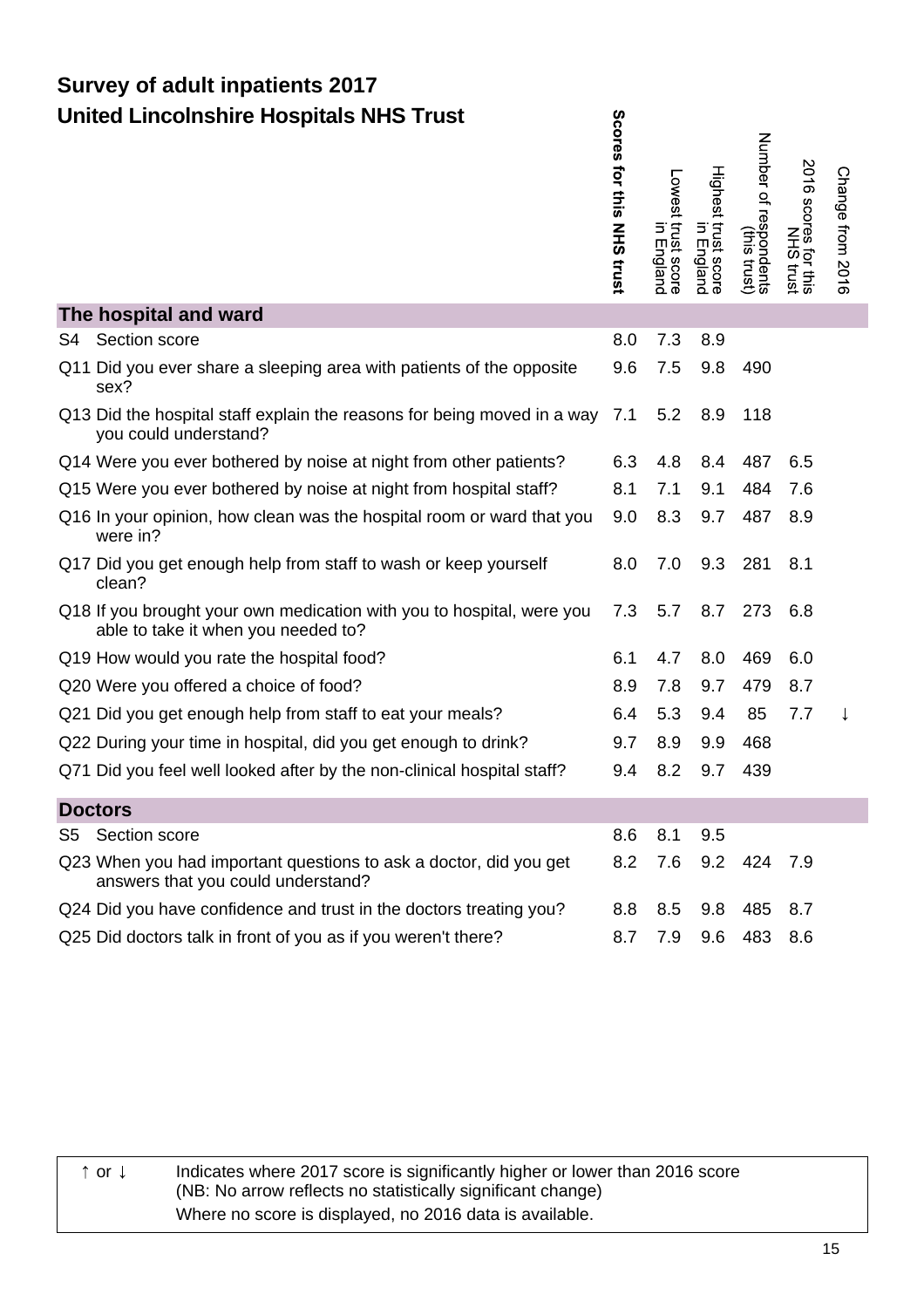|    | <b>United Lincolnshire Hospitals NHS Trust</b>                                                               | Scores tor this NHS trust | Lowest trust score<br>in England | Highest trust score<br>Highest trust score | Number of<br>f respondents<br>(this trust) | 2016 scores fout its<br>2016 scores frust | Change from 2016 |
|----|--------------------------------------------------------------------------------------------------------------|---------------------------|----------------------------------|--------------------------------------------|--------------------------------------------|-------------------------------------------|------------------|
|    | The hospital and ward                                                                                        |                           |                                  |                                            |                                            |                                           |                  |
| S4 | Section score                                                                                                | 8.0                       | 7.3                              | 8.9                                        |                                            |                                           |                  |
|    | Q11 Did you ever share a sleeping area with patients of the opposite<br>sex?                                 | 9.6                       | 7.5                              | 9.8                                        | 490                                        |                                           |                  |
|    | Q13 Did the hospital staff explain the reasons for being moved in a way 7.1<br>you could understand?         |                           | 5.2                              | 8.9                                        | 118                                        |                                           |                  |
|    | Q14 Were you ever bothered by noise at night from other patients?                                            | 6.3                       | 4.8                              | 8.4                                        | 487                                        | 6.5                                       |                  |
|    | Q15 Were you ever bothered by noise at night from hospital staff?                                            | 8.1                       | 7.1                              | 9.1                                        | 484                                        | 7.6                                       |                  |
|    | Q16 In your opinion, how clean was the hospital room or ward that you<br>were in?                            | 9.0                       | 8.3                              | 9.7                                        | 487                                        | 8.9                                       |                  |
|    | Q17 Did you get enough help from staff to wash or keep yourself<br>clean?                                    | 8.0                       | 7.0                              | 9.3                                        | 281                                        | 8.1                                       |                  |
|    | Q18 If you brought your own medication with you to hospital, were you<br>able to take it when you needed to? | 7.3                       | 5.7                              | 8.7                                        | 273                                        | 6.8                                       |                  |
|    | Q19 How would you rate the hospital food?                                                                    | 6.1                       | 4.7                              | 8.0                                        | 469                                        | 6.0                                       |                  |
|    | Q20 Were you offered a choice of food?                                                                       | 8.9                       | 7.8                              | 9.7                                        | 479                                        | 8.7                                       |                  |
|    | Q21 Did you get enough help from staff to eat your meals?                                                    | 6.4                       | 5.3                              | 9.4                                        | 85                                         | 7.7                                       |                  |
|    | Q22 During your time in hospital, did you get enough to drink?                                               | 9.7                       | 8.9                              | 9.9                                        | 468                                        |                                           |                  |
|    | Q71 Did you feel well looked after by the non-clinical hospital staff?                                       | 9.4                       | 8.2                              | 9.7                                        | 439                                        |                                           |                  |
|    | <b>Doctors</b>                                                                                               |                           |                                  |                                            |                                            |                                           |                  |
| S5 | Section score                                                                                                | 8.6                       | 8.1                              | 9.5                                        |                                            |                                           |                  |
|    | Q23 When you had important questions to ask a doctor, did you get<br>answers that you could understand?      | 8.2                       | 7.6                              | 9.2                                        | 424                                        | 7.9                                       |                  |
|    | Q24 Did you have confidence and trust in the doctors treating you?                                           | 8.8                       | 8.5                              | 9.8                                        | 485                                        | 8.7                                       |                  |
|    | Q25 Did doctors talk in front of you as if you weren't there?                                                | 8.7                       | 7.9                              | 9.6                                        | 483                                        | 8.6                                       |                  |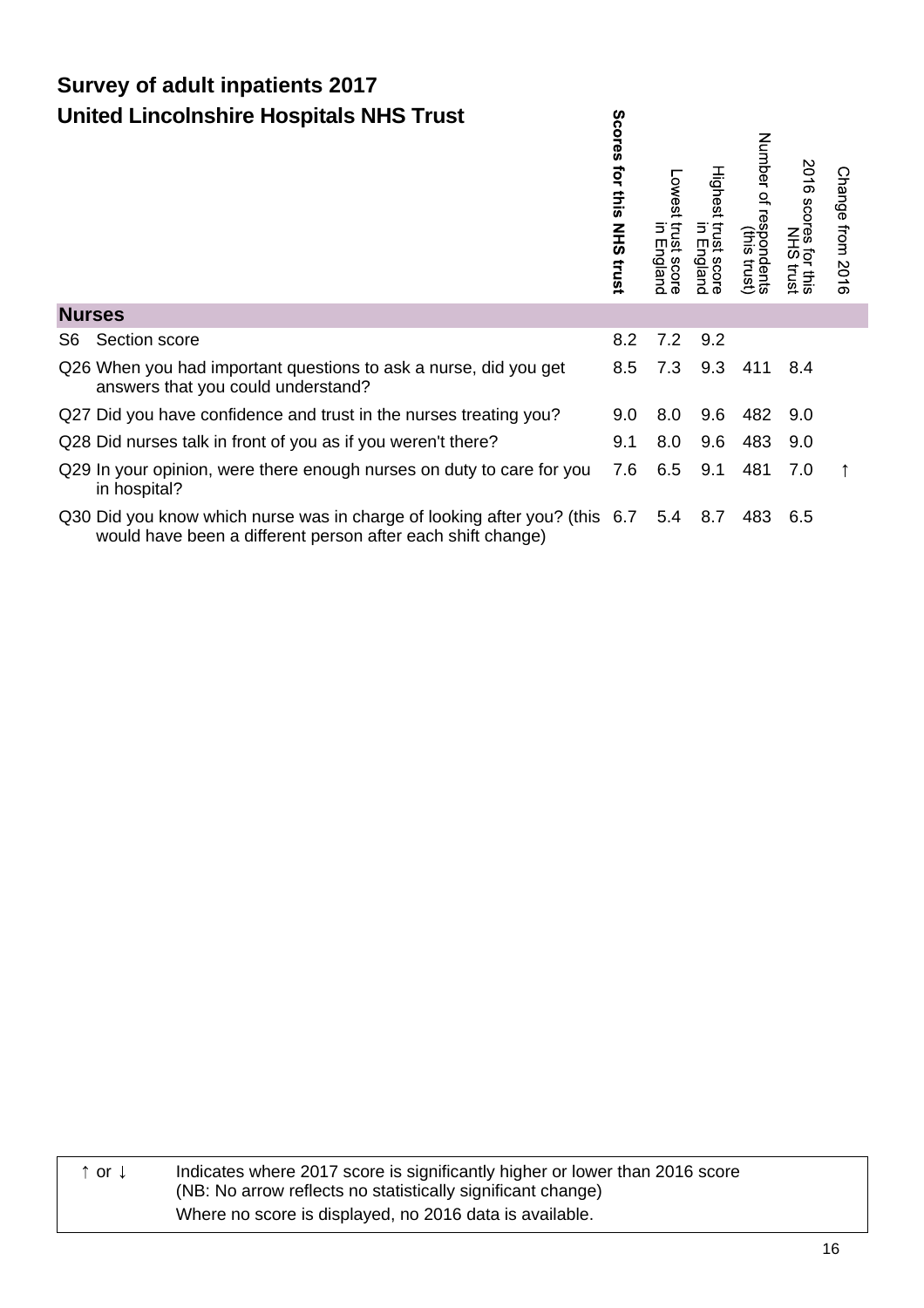|               | <b>United Lincolnshire Hospitals NHS Trust</b>                                                                                            | S<br><b>COLGS</b><br>ţ<br>$\frac{1}{2}$<br><b>NHS</b><br>trust | Lowest trust<br>Itust<br>cos<br>gland | Highest trust score<br>Highest trust score | Number<br>of resp<br>spondents<br>(this trust) | 2016 scores<br>for this<br>1S trust | Change from 2016 |
|---------------|-------------------------------------------------------------------------------------------------------------------------------------------|----------------------------------------------------------------|---------------------------------------|--------------------------------------------|------------------------------------------------|-------------------------------------|------------------|
| <b>Nurses</b> |                                                                                                                                           |                                                                |                                       |                                            |                                                |                                     |                  |
| S6.           | Section score                                                                                                                             | 8.2                                                            | 7.2                                   | 9.2                                        |                                                |                                     |                  |
|               | Q26 When you had important questions to ask a nurse, did you get<br>answers that you could understand?                                    | 8.5                                                            | 7.3                                   | 9.3                                        | 411                                            | 8.4                                 |                  |
|               | Q27 Did you have confidence and trust in the nurses treating you?                                                                         | 9.0                                                            | 8.0                                   | 9.6                                        | 482                                            | 9.0                                 |                  |
|               | Q28 Did nurses talk in front of you as if you weren't there?                                                                              | 9.1                                                            | 8.0                                   | 9.6                                        | 483                                            | 9.0                                 |                  |
|               | Q29 In your opinion, were there enough nurses on duty to care for you<br>in hospital?                                                     | 7.6                                                            | 6.5                                   | 9.1                                        | 481                                            | 7.0                                 |                  |
|               | Q30 Did you know which nurse was in charge of looking after you? (this 6.7<br>would have been a different person after each shift change) |                                                                | 5.4                                   | 8.7                                        | 483                                            | 6.5                                 |                  |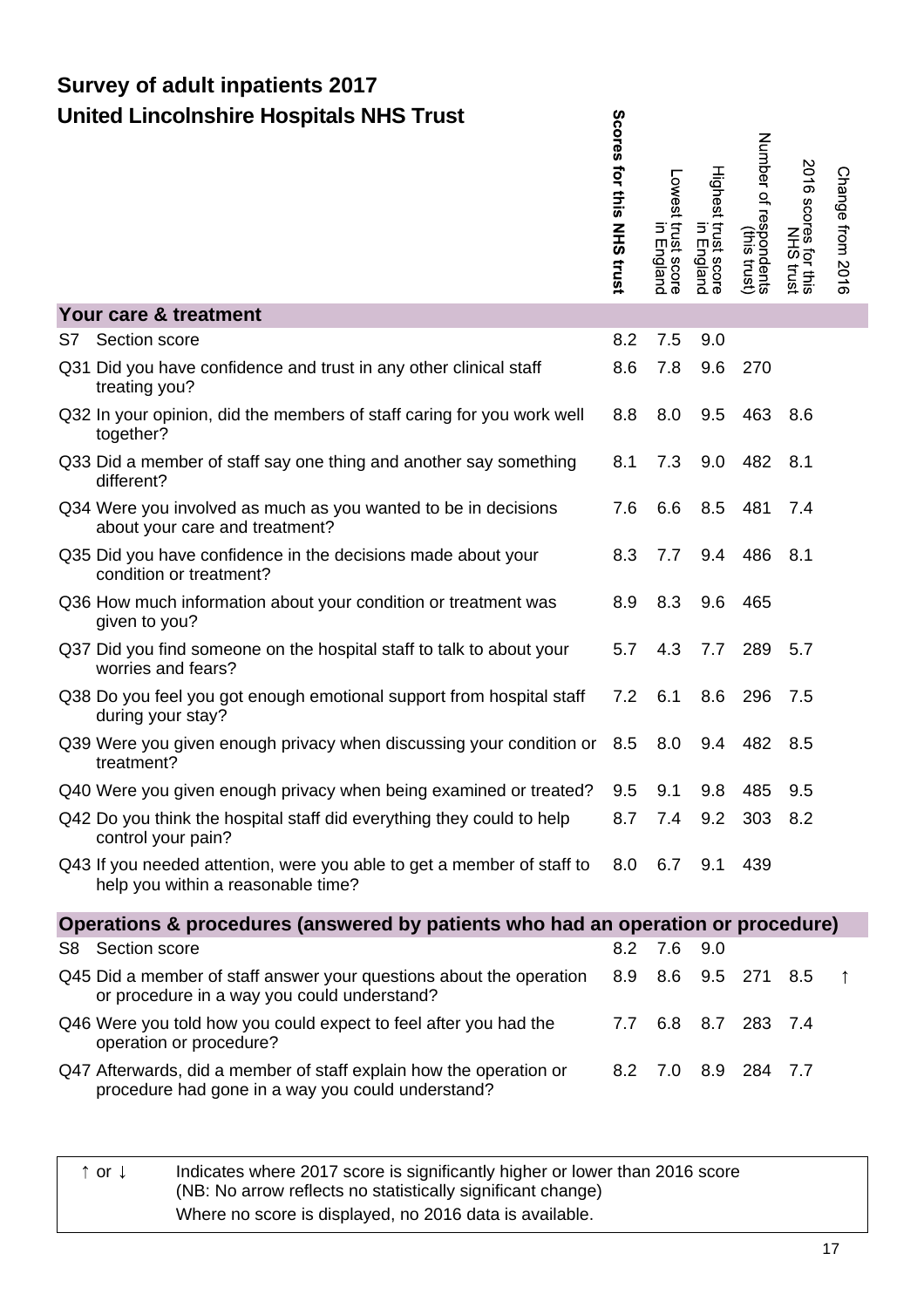|     |                                                                                                                              | ores for this NHS trust | Lowest trust score<br>in England | Highest trust score<br>Highest trust score | Number of respondents)<br>Number of respondents | 2016<br>scores for this | Change from 2016 |
|-----|------------------------------------------------------------------------------------------------------------------------------|-------------------------|----------------------------------|--------------------------------------------|-------------------------------------------------|-------------------------|------------------|
|     | Your care & treatment                                                                                                        |                         |                                  |                                            |                                                 |                         |                  |
| S7. | Section score                                                                                                                | 8.2                     | 7.5                              | 9.0                                        |                                                 |                         |                  |
|     | Q31 Did you have confidence and trust in any other clinical staff<br>treating you?                                           | 8.6                     | 7.8                              | 9.6                                        | 270                                             |                         |                  |
|     | Q32 In your opinion, did the members of staff caring for you work well<br>together?                                          | 8.8                     | 8.0                              | 9.5                                        | 463                                             | 8.6                     |                  |
|     | Q33 Did a member of staff say one thing and another say something<br>different?                                              | 8.1                     | 7.3                              | 9.0                                        | 482                                             | 8.1                     |                  |
|     | Q34 Were you involved as much as you wanted to be in decisions<br>about your care and treatment?                             | 7.6                     | 6.6                              | 8.5                                        | 481                                             | 7.4                     |                  |
|     | Q35 Did you have confidence in the decisions made about your<br>condition or treatment?                                      | 8.3                     | 7.7                              | 9.4                                        | 486                                             | 8.1                     |                  |
|     | Q36 How much information about your condition or treatment was<br>given to you?                                              | 8.9                     | 8.3                              | 9.6                                        | 465                                             |                         |                  |
|     | Q37 Did you find someone on the hospital staff to talk to about your<br>worries and fears?                                   | 5.7                     | 4.3                              | 7.7                                        | 289                                             | 5.7                     |                  |
|     | Q38 Do you feel you got enough emotional support from hospital staff<br>during your stay?                                    | 7.2                     | 6.1                              | 8.6                                        | 296                                             | 7.5                     |                  |
|     | Q39 Were you given enough privacy when discussing your condition or<br>treatment?                                            | 8.5                     | 8.0                              | 9.4                                        | 482                                             | 8.5                     |                  |
|     | Q40 Were you given enough privacy when being examined or treated?                                                            | 9.5                     | 9.1                              | 9.8                                        | 485                                             | 9.5                     |                  |
|     | Q42 Do you think the hospital staff did everything they could to help<br>control your pain?                                  | 8.7                     | 7.4                              | 9.2                                        | 303                                             | 8.2                     |                  |
|     | Q43 If you needed attention, were you able to get a member of staff to 8.0 6.7 9.1 439<br>help you within a reasonable time? |                         |                                  |                                            |                                                 |                         |                  |
|     | Operations & procedures (answered by patients who had an operation or procedure)                                             |                         |                                  |                                            |                                                 |                         |                  |
|     | S8 Section score                                                                                                             | 8.2                     | 7.6                              | 9.0                                        |                                                 |                         |                  |
|     | Q45 Did a member of staff answer your questions about the operation<br>or procedure in a way you could understand?           | 8.9                     | 8.6                              |                                            | 9.5 271                                         | 8.5                     |                  |
|     | Q46 Were you told how you could expect to feel after you had the<br>operation or procedure?                                  | 7.7                     |                                  |                                            | 6.8 8.7 283 7.4                                 |                         |                  |
|     | Q47 Afterwards, did a member of staff explain how the operation or<br>procedure had gone in a way you could understand?      | 8.2                     | 7.0                              |                                            | 8.9 284 7.7                                     |                         |                  |
|     |                                                                                                                              |                         |                                  |                                            |                                                 |                         |                  |

Sco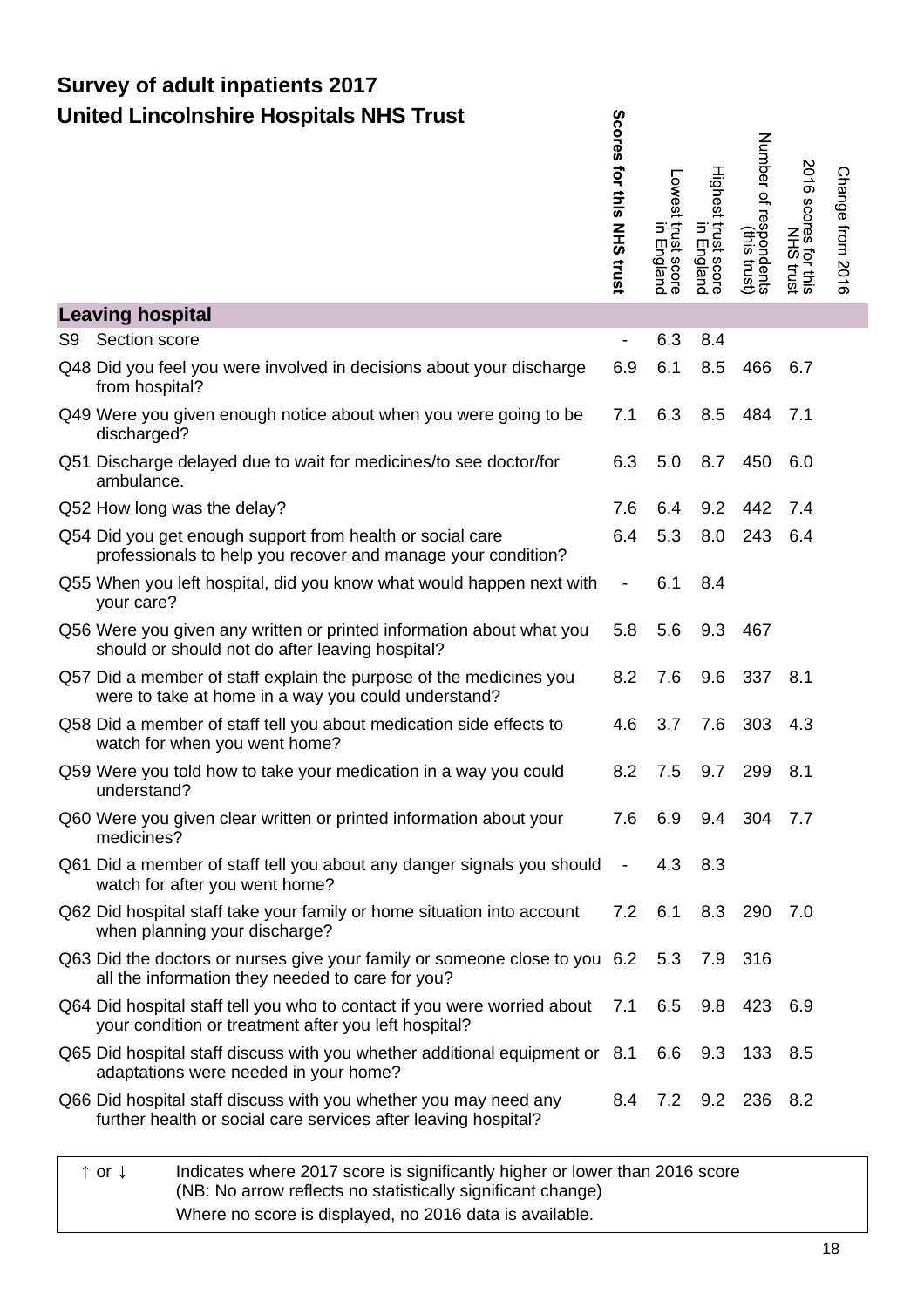|    | <b>United Lincolnshire Hospitals NHS Trust</b>                                                                                                       | <b>Scores tor this NHS trust</b> | Lowest trust score<br>in England | Highest trust score<br>Highest trust score | Number of<br>f respondents<br>(this trust) | 2016 scores for this<br>2016 scores frust | Change from 2016 |
|----|------------------------------------------------------------------------------------------------------------------------------------------------------|----------------------------------|----------------------------------|--------------------------------------------|--------------------------------------------|-------------------------------------------|------------------|
|    | <b>Leaving hospital</b>                                                                                                                              |                                  |                                  |                                            |                                            |                                           |                  |
| S9 | Section score                                                                                                                                        | $\overline{\phantom{0}}$         | 6.3                              | 8.4                                        |                                            |                                           |                  |
|    | Q48 Did you feel you were involved in decisions about your discharge<br>from hospital?                                                               | 6.9                              | 6.1                              | 8.5                                        | 466                                        | 6.7                                       |                  |
|    | Q49 Were you given enough notice about when you were going to be<br>discharged?                                                                      | 7.1                              | 6.3                              | 8.5                                        | 484                                        | 7.1                                       |                  |
|    | Q51 Discharge delayed due to wait for medicines/to see doctor/for<br>ambulance.                                                                      | 6.3                              | 5.0                              | 8.7                                        | 450                                        | 6.0                                       |                  |
|    | Q52 How long was the delay?                                                                                                                          | 7.6                              | 6.4                              | 9.2                                        | 442                                        | 7.4                                       |                  |
|    | Q54 Did you get enough support from health or social care<br>professionals to help you recover and manage your condition?                            | 6.4                              | 5.3                              | 8.0                                        | 243                                        | 6.4                                       |                  |
|    | Q55 When you left hospital, did you know what would happen next with<br>your care?                                                                   | $\qquad \qquad \blacksquare$     | 6.1                              | 8.4                                        |                                            |                                           |                  |
|    | Q56 Were you given any written or printed information about what you<br>should or should not do after leaving hospital?                              | 5.8                              | 5.6                              | 9.3                                        | 467                                        |                                           |                  |
|    | Q57 Did a member of staff explain the purpose of the medicines you<br>were to take at home in a way you could understand?                            | 8.2                              | 7.6                              | 9.6                                        | 337                                        | 8.1                                       |                  |
|    | Q58 Did a member of staff tell you about medication side effects to<br>watch for when you went home?                                                 | 4.6                              | 3.7                              | 7.6                                        | 303                                        | 4.3                                       |                  |
|    | Q59 Were you told how to take your medication in a way you could<br>understand?                                                                      | 8.2                              | 7.5                              | 9.7                                        | 299                                        | 8.1                                       |                  |
|    | Q60 Were you given clear written or printed information about your<br>medicines?                                                                     | 7.6                              | 6.9                              |                                            | 9.4 304 7.7                                |                                           |                  |
|    | Q61 Did a member of staff tell you about any danger signals you should<br>watch for after you went home?                                             | $\overline{\phantom{a}}$         | 4.3                              | 8.3                                        |                                            |                                           |                  |
|    | Q62 Did hospital staff take your family or home situation into account<br>when planning your discharge?                                              | 7.2                              | 6.1                              | 8.3                                        | 290 7.0                                    |                                           |                  |
|    | Q63 Did the doctors or nurses give your family or someone close to you 6.2 5.3<br>all the information they needed to care for you?                   |                                  |                                  | 7.9                                        | 316                                        |                                           |                  |
|    | Q64 Did hospital staff tell you who to contact if you were worried about 7.1 6.5 9.8 423 6.9<br>your condition or treatment after you left hospital? |                                  |                                  |                                            |                                            |                                           |                  |
|    | Q65 Did hospital staff discuss with you whether additional equipment or 8.1<br>adaptations were needed in your home?                                 |                                  | 6.6                              | 9.3                                        | 133 8.5                                    |                                           |                  |
|    | Q66 Did hospital staff discuss with you whether you may need any<br>further health or social care services after leaving hospital?                   | 8.4                              |                                  |                                            | 7.2 9.2 236 8.2                            |                                           |                  |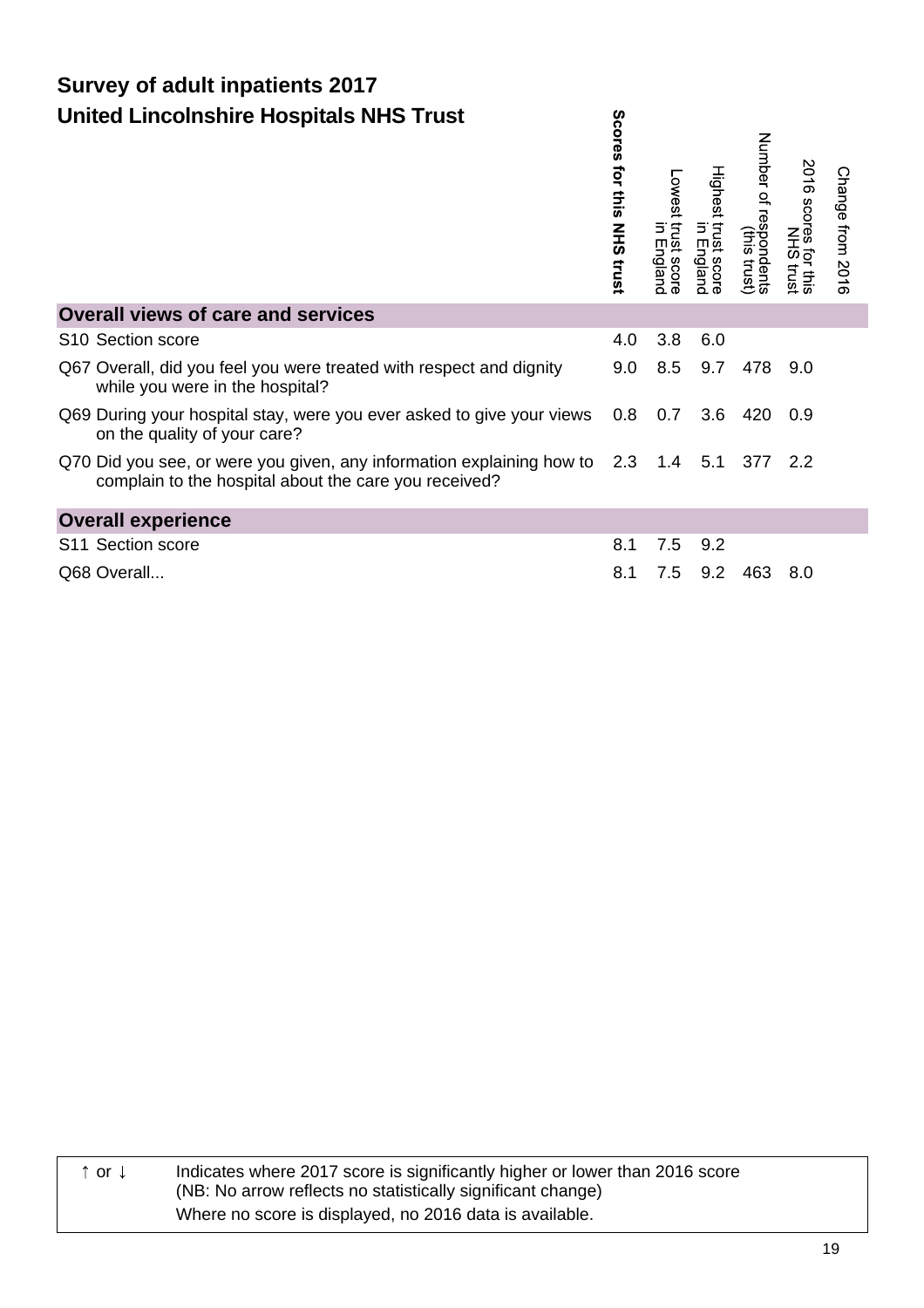|                                                                                                                                        | <b>Cres</b><br>for this<br><b>NHS trust</b> | Lowest<br>trust score<br>Б<br>England | Highest trust score<br>Highest trust score | Number of respondents<br>(this trust) | 2016 scores for this | Change from 2016 |
|----------------------------------------------------------------------------------------------------------------------------------------|---------------------------------------------|---------------------------------------|--------------------------------------------|---------------------------------------|----------------------|------------------|
| <b>Overall views of care and services</b>                                                                                              |                                             |                                       |                                            |                                       |                      |                  |
| S <sub>10</sub> Section score                                                                                                          | 4.0                                         | 3.8                                   | 6.0                                        |                                       |                      |                  |
| Q67 Overall, did you feel you were treated with respect and dignity<br>while you were in the hospital?                                 | 9.0                                         | 8.5                                   | 9.7                                        | 478 9.0                               |                      |                  |
| Q69 During your hospital stay, were you ever asked to give your views 0.8<br>on the quality of your care?                              |                                             | 0.7                                   | 3.6                                        | 420                                   | 0.9                  |                  |
| Q70 Did you see, or were you given, any information explaining how to 2.3 1.4<br>complain to the hospital about the care you received? |                                             |                                       | 5.1                                        | 377 2.2                               |                      |                  |
| <b>Overall experience</b>                                                                                                              |                                             |                                       |                                            |                                       |                      |                  |
| S11 Section score                                                                                                                      | 8.1                                         | 7.5                                   | 9.2                                        |                                       |                      |                  |
| Q68 Overall                                                                                                                            | 8.1                                         | 7.5                                   | 9.2                                        | 463                                   | 8.0                  |                  |

Ō,